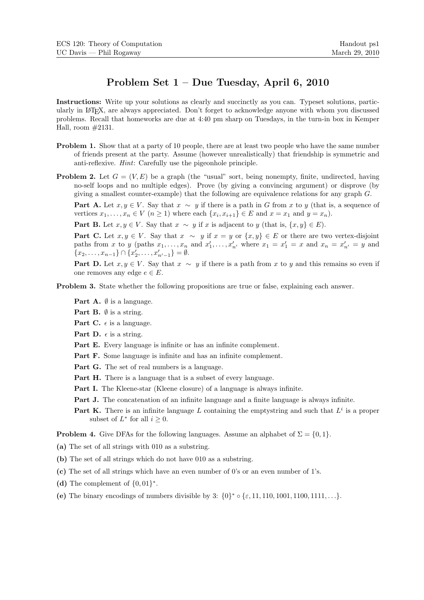## Problem Set 1 – Due Tuesday, April 6, 2010

Instructions: Write up your solutions as clearly and succinctly as you can. Typeset solutions, particularly in LATEX, are always appreciated. Don't forget to acknowledge anyone with whom you discussed problems. Recall that homeworks are due at 4:40 pm sharp on Tuesdays, in the turn-in box in Kemper Hall, room #2131.

- Problem 1. Show that at a party of 10 people, there are at least two people who have the same number of friends present at the party. Assume (however unrealistically) that friendship is symmetric and anti-reflexive. Hint: Carefully use the pigeonhole principle.
- **Problem 2.** Let  $G = (V, E)$  be a graph (the "usual" sort, being nonempty, finite, undirected, having no-self loops and no multiple edges). Prove (by giving a convincing argument) or disprove (by giving a smallest counter-example) that the following are equivalence relations for any graph G.

**Part A.** Let  $x, y \in V$ . Say that  $x \sim y$  if there is a path in G from x to y (that is, a sequence of vertices  $x_1, \ldots, x_n \in V$   $(n \geq 1)$  where each  $\{x_i, x_{i+1}\} \in E$  and  $x = x_1$  and  $y = x_n$ ).

Part B. Let  $x, y \in V$ . Say that  $x \sim y$  if x is adjacent to y (that is,  $\{x, y\} \in E$ ).

**Part C.** Let  $x, y \in V$ . Say that  $x \sim y$  if  $x = y$  or  $\{x, y\} \in E$  or there are two vertex-disjoint paths from x to y (paths  $x_1, \ldots, x_n$  and  $x'_1, \ldots, x'_{n'}$  where  $x_1 = x'_1 = x$  and  $x_n = x'_{n'} = y$  and  ${x_2, \ldots, x_{n-1}} \cap {x'_2, \ldots, x'_{n'-1}} = \emptyset.$ 

**Part D.** Let  $x, y \in V$ . Say that  $x \sim y$  if there is a path from x to y and this remains so even if one removes any edge  $e \in E$ .

- Problem 3. State whether the following propositions are true or false, explaining each answer.
	- **Part A.**  $\emptyset$  is a language.
	- **Part B.**  $\emptyset$  is a string.
	- **Part C.**  $\epsilon$  is a language.
	- **Part D.**  $\epsilon$  is a string.
	- Part E. Every language is infinite or has an infinite complement.
	- Part F. Some language is infinite and has an infinite complement.
	- Part G. The set of real numbers is a language.
	- Part H. There is a language that is a subset of every language.
	- Part I. The Kleene-star (Kleene closure) of a language is always infinite.
	- Part J. The concatenation of an infinite language and a finite language is always infinite.
	- Part K. There is an infinite language L containing the emptystring and such that  $L^i$  is a proper subset of  $L^*$  for all  $i \geq 0$ .

**Problem 4.** Give DFAs for the following languages. Assume an alphabet of  $\Sigma = \{0, 1\}$ .

(a) The set of all strings with 010 as a substring.

- (b) The set of all strings which do not have 010 as a substring.
- (c) The set of all strings which have an even number of 0's or an even number of 1's.
- (d) The complement of  $\{0,01\}^*$ .
- (e) The binary encodings of numbers divisible by 3:  $\{0\}^* \circ \{\varepsilon, 11, 110, 1001, 1100, 1111, ...\}$ .